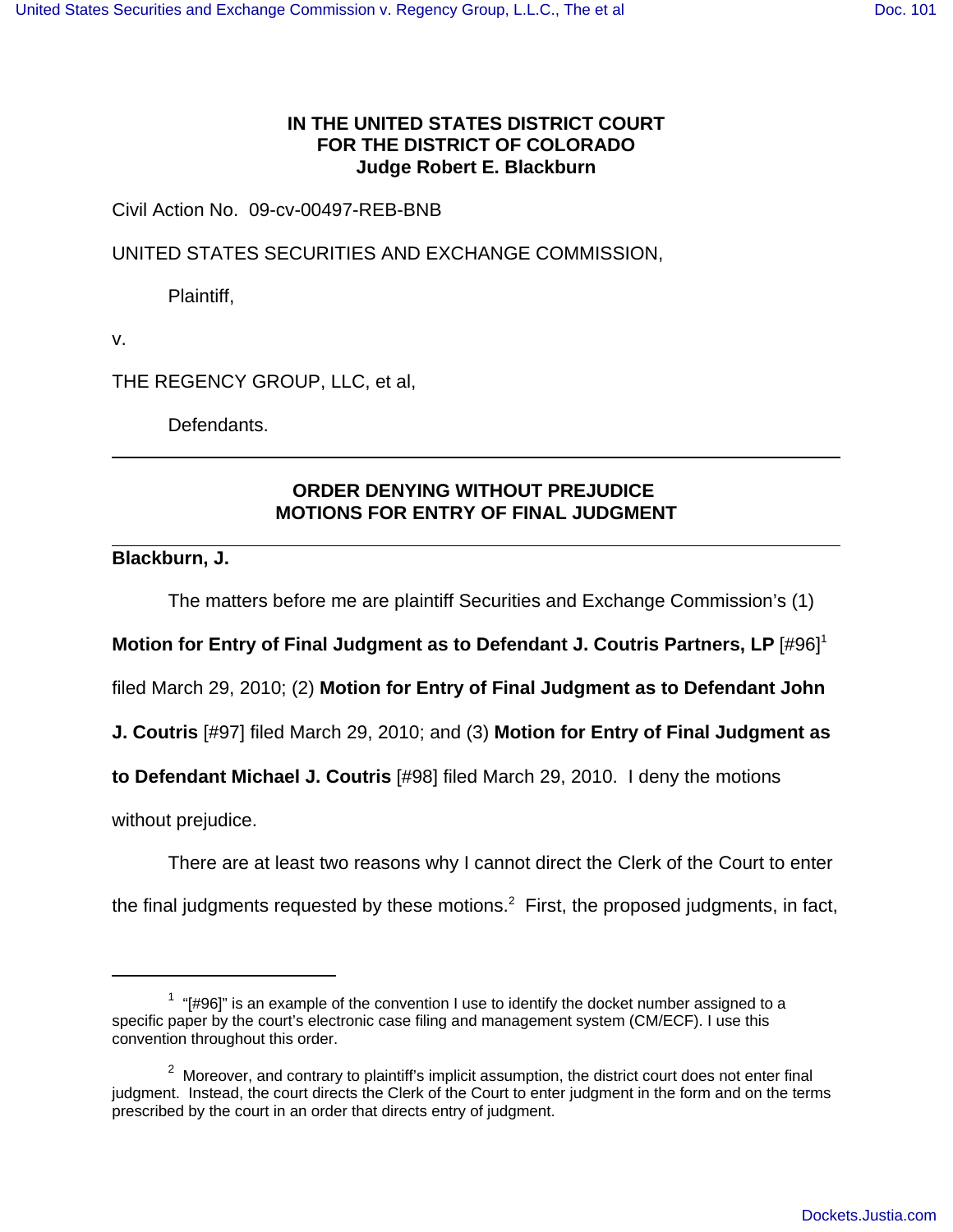## **IN THE UNITED STATES DISTRICT COURT FOR THE DISTRICT OF COLORADO Judge Robert E. Blackburn**

Civil Action No. 09-cv-00497-REB-BNB

UNITED STATES SECURITIES AND EXCHANGE COMMISSION,

Plaintiff,

v.

THE REGENCY GROUP, LLC, et al,

Defendants.

## **ORDER DENYING WITHOUT PREJUDICE MOTIONS FOR ENTRY OF FINAL JUDGMENT**

**Blackburn, J.**

The matters before me are plaintiff Securities and Exchange Commission's (1)

**Motion for Entry of Final Judgment as to Defendant J. Coutris Partners, LP** [#96]<sup>1</sup>

filed March 29, 2010; (2) **Motion for Entry of Final Judgment as to Defendant John**

**J. Coutris** [#97] filed March 29, 2010; and (3) **Motion for Entry of Final Judgment as**

**to Defendant Michael J. Coutris** [#98] filed March 29, 2010. I deny the motions

without prejudice.

There are at least two reasons why I cannot direct the Clerk of the Court to enter

the final judgments requested by these motions. $^2$  First, the proposed judgments, in fact,

 $1$  "[#96]" is an example of the convention I use to identify the docket number assigned to a specific paper by the court's electronic case filing and management system (CM/ECF). I use this convention throughout this order.

 $2$  Moreover, and contrary to plaintiff's implicit assumption, the district court does not enter final judgment. Instead, the court directs the Clerk of the Court to enter judgment in the form and on the terms prescribed by the court in an order that directs entry of judgment.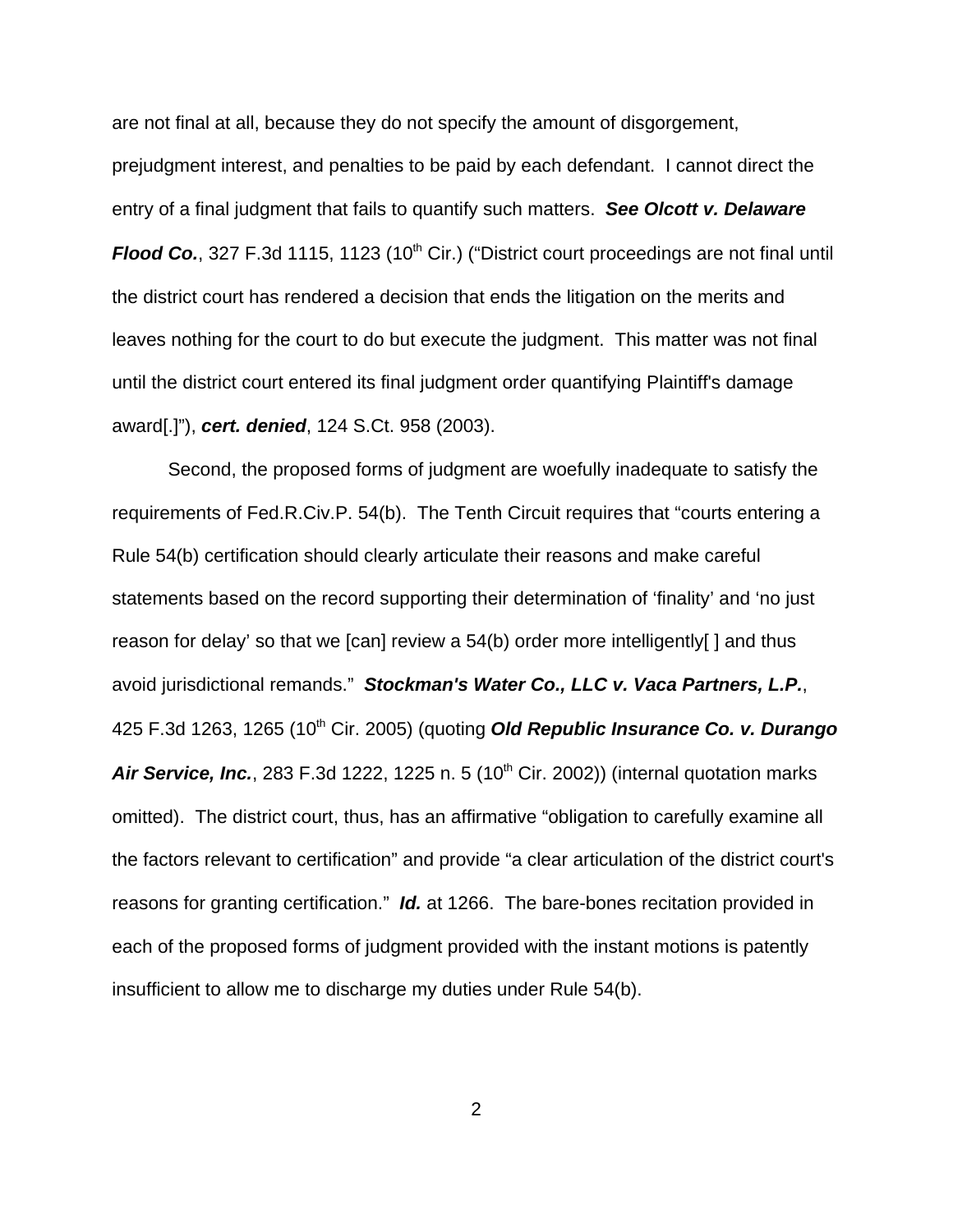are not final at all, because they do not specify the amount of disgorgement, prejudgment interest, and penalties to be paid by each defendant. I cannot direct the entry of a final judgment that fails to quantify such matters. **See Olcott v. Delaware Flood Co.**, 327 F.3d 1115, 1123 (10<sup>th</sup> Cir.) ("District court proceedings are not final until the district court has rendered a decision that ends the litigation on the merits and leaves nothing for the court to do but execute the judgment. This matter was not final until the district court entered its final judgment order quantifying Plaintiff's damage award[.]"), **cert. denied**, 124 S.Ct. 958 (2003).

Second, the proposed forms of judgment are woefully inadequate to satisfy the requirements of Fed.R.Civ.P. 54(b). The Tenth Circuit requires that "courts entering a Rule 54(b) certification should clearly articulate their reasons and make careful statements based on the record supporting their determination of 'finality' and 'no just reason for delay' so that we [can] review a 54(b) order more intelligently[ ] and thus avoid jurisdictional remands." **Stockman's Water Co., LLC v. Vaca Partners, L.P.**, 425 F.3d 1263, 1265 (10th Cir. 2005) (quoting **Old Republic Insurance Co. v. Durango Air Service, Inc.**, 283 F.3d 1222, 1225 n. 5 (10<sup>th</sup> Cir. 2002)) (internal quotation marks omitted). The district court, thus, has an affirmative "obligation to carefully examine all the factors relevant to certification" and provide "a clear articulation of the district court's reasons for granting certification." **Id.** at 1266. The bare-bones recitation provided in each of the proposed forms of judgment provided with the instant motions is patently insufficient to allow me to discharge my duties under Rule 54(b).

2